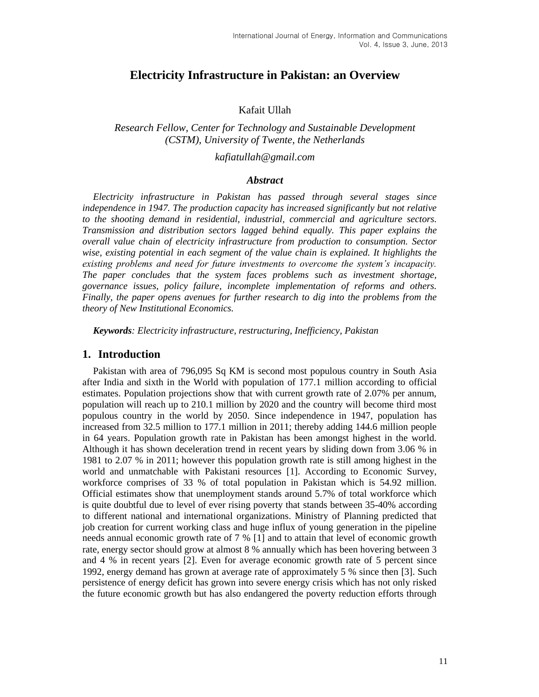# **Electricity Infrastructure in Pakistan: an Overview**

#### Kafait Ullah

## *Research Fellow, Center for Technology and Sustainable Development (CSTM), University of Twente, the Netherlands*

### *kafiatullah@gmail.com*

#### *Abstract*

*Electricity infrastructure in Pakistan has passed through several stages since independence in 1947. The production capacity has increased significantly but not relative to the shooting demand in residential, industrial, commercial and agriculture sectors. Transmission and distribution sectors lagged behind equally. This paper explains the overall value chain of electricity infrastructure from production to consumption. Sector wise, existing potential in each segment of the value chain is explained. It highlights the existing problems and need for future investments to overcome the system's incapacity. The paper concludes that the system faces problems such as investment shortage, governance issues, policy failure, incomplete implementation of reforms and others. Finally, the paper opens avenues for further research to dig into the problems from the theory of New Institutional Economics.*

*Keywords: Electricity infrastructure, restructuring, Inefficiency, Pakistan* 

## **1. Introduction**

Pakistan with area of 796,095 Sq KM is second most populous country in South Asia after India and sixth in the World with population of 177.1 million according to official estimates. Population projections show that with current growth rate of 2.07% per annum, population will reach up to 210.1 million by 2020 and the country will become third most populous country in the world by 2050. Since independence in 1947, population has increased from 32.5 million to 177.1 million in 2011; thereby adding 144.6 million people in 64 years. Population growth rate in Pakistan has been amongst highest in the world. Although it has shown deceleration trend in recent years by sliding down from 3.06 % in 1981 to 2.07 % in 2011; however this population growth rate is still among highest in the world and unmatchable with Pakistani resources [\[1\]](#page-14-0). According to Economic Survey, workforce comprises of 33 % of total population in Pakistan which is 54.92 million. Official estimates show that unemployment stands around 5.7% of total workforce which is quite doubtful due to level of ever rising poverty that stands between 35-40% according to different national and international organizations. Ministry of Planning predicted that job creation for current working class and huge influx of young generation in the pipeline needs annual economic growth rate of 7 % [\[1\]](#page-14-0) and to attain that level of economic growth rate, energy sector should grow at almost 8 % annually which has been hovering between 3 and 4 % in recent years [\[2\]](#page-14-1). Even for average economic growth rate of 5 percent since 1992, energy demand has grown at average rate of approximately 5 % since then [\[3\]](#page-14-2). Such persistence of energy deficit has grown into severe energy crisis which has not only risked the future economic growth but has also endangered the poverty reduction efforts through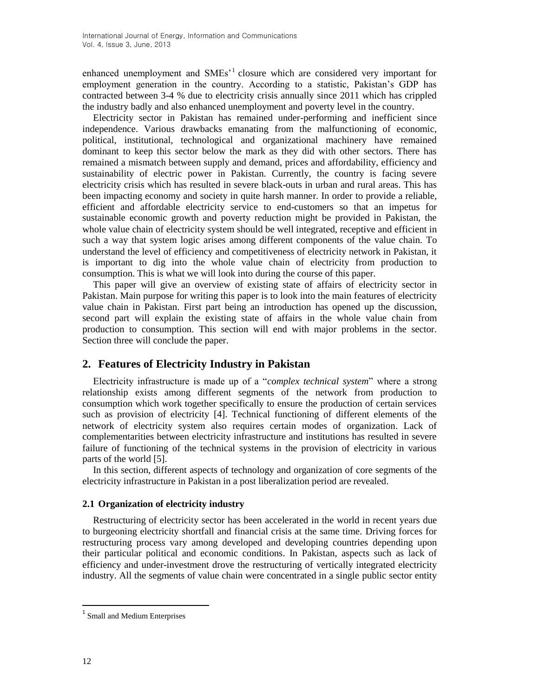enhanced unemployment and SMEs<sup>1</sup> closure which are considered very important for employment generation in the country. According to a statistic, Pakistan's GDP has contracted between 3-4 % due to electricity crisis annually since 2011 which has crippled the industry badly and also enhanced unemployment and poverty level in the country.

Electricity sector in Pakistan has remained under-performing and inefficient since independence. Various drawbacks emanating from the malfunctioning of economic, political, institutional, technological and organizational machinery have remained dominant to keep this sector below the mark as they did with other sectors. There has remained a mismatch between supply and demand, prices and affordability, efficiency and sustainability of electric power in Pakistan. Currently, the country is facing severe electricity crisis which has resulted in severe black-outs in urban and rural areas. This has been impacting economy and society in quite harsh manner. In order to provide a reliable, efficient and affordable electricity service to end-customers so that an impetus for sustainable economic growth and poverty reduction might be provided in Pakistan, the whole value chain of electricity system should be well integrated, receptive and efficient in such a way that system logic arises among different components of the value chain. To understand the level of efficiency and competitiveness of electricity network in Pakistan, it is important to dig into the whole value chain of electricity from production to consumption. This is what we will look into during the course of this paper.

This paper will give an overview of existing state of affairs of electricity sector in Pakistan. Main purpose for writing this paper is to look into the main features of electricity value chain in Pakistan. First part being an introduction has opened up the discussion, second part will explain the existing state of affairs in the whole value chain from production to consumption. This section will end with major problems in the sector. Section three will conclude the paper.

## **2. Features of Electricity Industry in Pakistan**

Electricity infrastructure is made up of a "*complex technical system*" where a strong relationship exists among different segments of the network from production to consumption which work together specifically to ensure the production of certain services such as provision of electricity [4]. Technical functioning of different elements of the network of electricity system also requires certain modes of organization. Lack of complementarities between electricity infrastructure and institutions has resulted in severe failure of functioning of the technical systems in the provision of electricity in various parts of the world [\[5\]](#page-14-3).

In this section, different aspects of technology and organization of core segments of the electricity infrastructure in Pakistan in a post liberalization period are revealed.

#### **2.1 Organization of electricity industry**

Restructuring of electricity sector has been accelerated in the world in recent years due to burgeoning electricity shortfall and financial crisis at the same time. Driving forces for restructuring process vary among developed and developing countries depending upon their particular political and economic conditions. In Pakistan, aspects such as lack of efficiency and under-investment drove the restructuring of vertically integrated electricity industry. All the segments of value chain were concentrated in a single public sector entity

<sup>&</sup>lt;sup>1</sup> Small and Medium Enterprises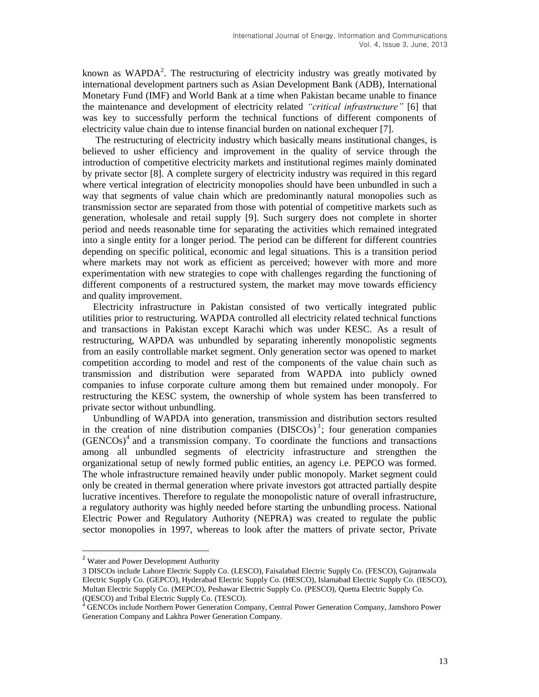known as WAPDA<sup>2</sup>. The restructuring of electricity industry was greatly motivated by international development partners such as Asian Development Bank (ADB), International Monetary Fund (IMF) and World Bank at a time when Pakistan became unable to finance the maintenance and development of electricity related *"critical infrastructure"* [\[6\]](#page-14-4) that was key to successfully perform the technical functions of different components of electricity value chain due to intense financial burden on national exchequer [\[7\]](#page-14-5).

The restructuring of electricity industry which basically means institutional changes, is believed to usher efficiency and improvement in the quality of service through the introduction of competitive electricity markets and institutional regimes mainly dominated by private sector [\[8\]](#page-14-6). A complete surgery of electricity industry was required in this regard where vertical integration of electricity monopolies should have been unbundled in such a way that segments of value chain which are predominantly natural monopolies such as transmission sector are separated from those with potential of competitive markets such as generation, wholesale and retail supply [\[9\]](#page-14-7). Such surgery does not complete in shorter period and needs reasonable time for separating the activities which remained integrated into a single entity for a longer period. The period can be different for different countries depending on specific political, economic and legal situations. This is a transition period where markets may not work as efficient as perceived; however with more and more experimentation with new strategies to cope with challenges regarding the functioning of different components of a restructured system, the market may move towards efficiency and quality improvement.

Electricity infrastructure in Pakistan consisted of two vertically integrated public utilities prior to restructuring. WAPDA controlled all electricity related technical functions and transactions in Pakistan except Karachi which was under KESC. As a result of restructuring, WAPDA was unbundled by separating inherently monopolistic segments from an easily controllable market segment. Only generation sector was opened to market competition according to model and rest of the components of the value chain such as transmission and distribution were separated from WAPDA into publicly owned companies to infuse corporate culture among them but remained under monopoly. For restructuring the KESC system, the ownership of whole system has been transferred to private sector without unbundling.

Unbundling of WAPDA into generation, transmission and distribution sectors resulted in the creation of nine distribution companies  $(DISCO)$ <sup>3</sup>; four generation companies  $(GENCOS)^4$  and a transmission company. To coordinate the functions and transactions among all unbundled segments of electricity infrastructure and strengthen the organizational setup of newly formed public entities, an agency i.e. PEPCO was formed. The whole infrastructure remained heavily under public monopoly. Market segment could only be created in thermal generation where private investors got attracted partially despite lucrative incentives. Therefore to regulate the monopolistic nature of overall infrastructure, a regulatory authority was highly needed before starting the unbundling process. National Electric Power and Regulatory Authority (NEPRA) was created to regulate the public sector monopolies in 1997, whereas to look after the matters of private sector, Private

<sup>&</sup>lt;sup>2</sup> Water and Power Development Authority

<sup>3</sup> DISCOs include Lahore Electric Supply Co. (LESCO), Faisalabad Electric Supply Co. (FESCO), Gujranwala Electric Supply Co. (GEPCO), Hyderabad Electric Supply Co. (HESCO), Islamabad Electric Supply Co. (IESCO), Multan Electric Supply Co. (MEPCO), Peshawar Electric Supply Co. (PESCO), Quetta Electric Supply Co. (QESCO) and Tribal Electric Supply Co. (TESCO).

<sup>4</sup> GENCOs include Northern Power Generation Company, Central Power Generation Company, Jamshoro Power Generation Company and Lakhra Power Generation Company.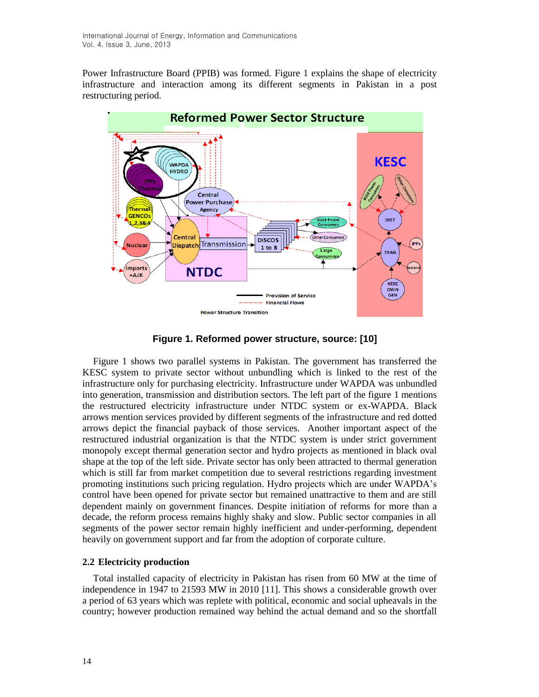Power Infrastructure Board (PPIB) was formed. Figure 1 explains the shape of electricity infrastructure and interaction among its different segments in Pakistan in a post restructuring period.



**Figure 1. Reformed power structure, source: [10]**

Figure 1 shows two parallel systems in Pakistan. The government has transferred the KESC system to private sector without unbundling which is linked to the rest of the infrastructure only for purchasing electricity. Infrastructure under WAPDA was unbundled into generation, transmission and distribution sectors. The left part of the figure 1 mentions the restructured electricity infrastructure under NTDC system or ex-WAPDA. Black arrows mention services provided by different segments of the infrastructure and red dotted arrows depict the financial payback of those services. Another important aspect of the restructured industrial organization is that the NTDC system is under strict government monopoly except thermal generation sector and hydro projects as mentioned in black oval shape at the top of the left side. Private sector has only been attracted to thermal generation which is still far from market competition due to several restrictions regarding investment promoting institutions such pricing regulation. Hydro projects which are under WAPDA's control have been opened for private sector but remained unattractive to them and are still dependent mainly on government finances. Despite initiation of reforms for more than a decade, the reform process remains highly shaky and slow. Public sector companies in all segments of the power sector remain highly inefficient and under-performing, dependent heavily on government support and far from the adoption of corporate culture.

### **2.2 Electricity production**

Total installed capacity of electricity in Pakistan has risen from 60 MW at the time of independence in 1947 to 21593 MW in 2010 [\[11\]](#page-14-8). This shows a considerable growth over a period of 63 years which was replete with political, economic and social upheavals in the country; however production remained way behind the actual demand and so the shortfall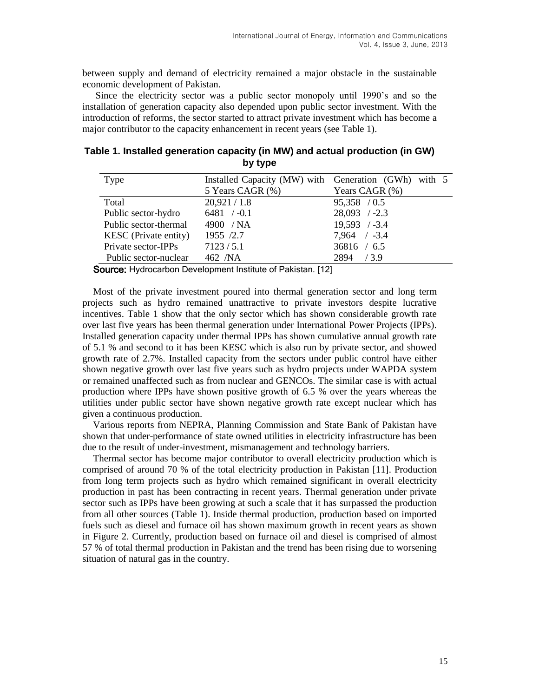between supply and demand of electricity remained a major obstacle in the sustainable economic development of Pakistan.

Since the electricity sector was a public sector monopoly until 1990's and so the installation of generation capacity also depended upon public sector investment. With the introduction of reforms, the sector started to attract private investment which has become a major contributor to the capacity enhancement in recent years (see Table 1).

| Table 1. Installed generation capacity (in MW) and actual production (in GW) |         |  |  |
|------------------------------------------------------------------------------|---------|--|--|
|                                                                              | by type |  |  |

| Type                         | Installed Capacity (MW) with Generation (GWh) with 5 |                  |
|------------------------------|------------------------------------------------------|------------------|
|                              | 5 Years CAGR (%)                                     | Years CAGR (%)   |
| Total                        | 20,921/1.8                                           | 95,358 / 0.5     |
| Public sector-hydro          | $6481 / -0.1$                                        | $28,093$ /-2.3   |
| Public sector-thermal        | 4900 / NA                                            | $19,593$ /-3.4   |
| <b>KESC</b> (Private entity) | 1955 /2.7                                            | $7,964$ / $-3.4$ |
| Private sector-IPPs          | 7123/5.1                                             | 36816 / 6.5      |
| Public sector-nuclear        | 462 /NA                                              | 2894 / 3.9       |

**Source:** Hydrocarbon Development Institute of Pakistan. [\[12\]](#page-14-9)

Most of the private investment poured into thermal generation sector and long term projects such as hydro remained unattractive to private investors despite lucrative incentives. Table 1 show that the only sector which has shown considerable growth rate over last five years has been thermal generation under International Power Projects (IPPs). Installed generation capacity under thermal IPPs has shown cumulative annual growth rate of 5.1 % and second to it has been KESC which is also run by private sector, and showed growth rate of 2.7%. Installed capacity from the sectors under public control have either shown negative growth over last five years such as hydro projects under WAPDA system or remained unaffected such as from nuclear and GENCOs. The similar case is with actual production where IPPs have shown positive growth of 6.5 % over the years whereas the utilities under public sector have shown negative growth rate except nuclear which has given a continuous production.

Various reports from NEPRA, Planning Commission and State Bank of Pakistan have shown that under-performance of state owned utilities in electricity infrastructure has been due to the result of under-investment, mismanagement and technology barriers.

Thermal sector has become major contributor to overall electricity production which is comprised of around 70 % of the total electricity production in Pakistan [\[11\]](#page-14-8). Production from long term projects such as hydro which remained significant in overall electricity production in past has been contracting in recent years. Thermal generation under private sector such as IPPs have been growing at such a scale that it has surpassed the production from all other sources (Table 1). Inside thermal production, production based on imported fuels such as diesel and furnace oil has shown maximum growth in recent years as shown in Figure 2. Currently, production based on furnace oil and diesel is comprised of almost 57 % of total thermal production in Pakistan and the trend has been rising due to worsening situation of natural gas in the country.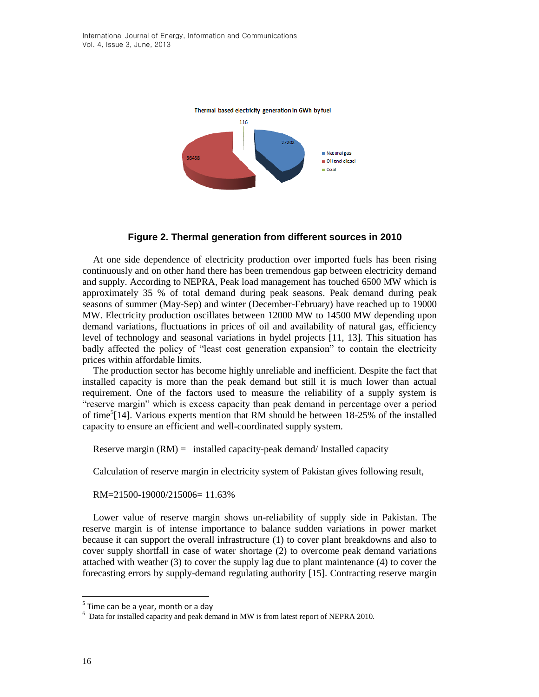

### **Figure 2. Thermal generation from different sources in 2010**

At one side dependence of electricity production over imported fuels has been rising continuously and on other hand there has been tremendous gap between electricity demand and supply. According to NEPRA, Peak load management has touched 6500 MW which is approximately 35 % of total demand during peak seasons. Peak demand during peak seasons of summer (May-Sep) and winter (December-February) have reached up to 19000 MW. Electricity production oscillates between 12000 MW to 14500 MW depending upon demand variations, fluctuations in prices of oil and availability of natural gas, efficiency level of technology and seasonal variations in hydel projects [\[11,](#page-14-8) [13\]](#page-15-0). This situation has badly affected the policy of "least cost generation expansion" to contain the electricity prices within affordable limits.

The production sector has become highly unreliable and inefficient. Despite the fact that installed capacity is more than the peak demand but still it is much lower than actual requirement. One of the factors used to measure the reliability of a supply system is "reserve margin" which is excess capacity than peak demand in percentage over a period of time<sup>5</sup>[\[14\]](#page-15-1). Various experts mention that RM should be between 18-25% of the installed capacity to ensure an efficient and well-coordinated supply system.

Reserve margin  $(RM)$  = installed capacity-peak demand/ Installed capacity

Calculation of reserve margin in electricity system of Pakistan gives following result,

RM=21500-19000/215006= 11.63%

Lower value of reserve margin shows un-reliability of supply side in Pakistan. The reserve margin is of intense importance to balance sudden variations in power market because it can support the overall infrastructure (1) to cover plant breakdowns and also to cover supply shortfall in case of water shortage (2) to overcome peak demand variations attached with weather (3) to cover the supply lag due to plant maintenance (4) to cover the forecasting errors by supply-demand regulating authority [\[15\]](#page-15-2). Contracting reserve margin

 $<sup>5</sup>$  Time can be a year, month or a day</sup>

 $6$  Data for installed capacity and peak demand in MW is from latest report of NEPRA 2010.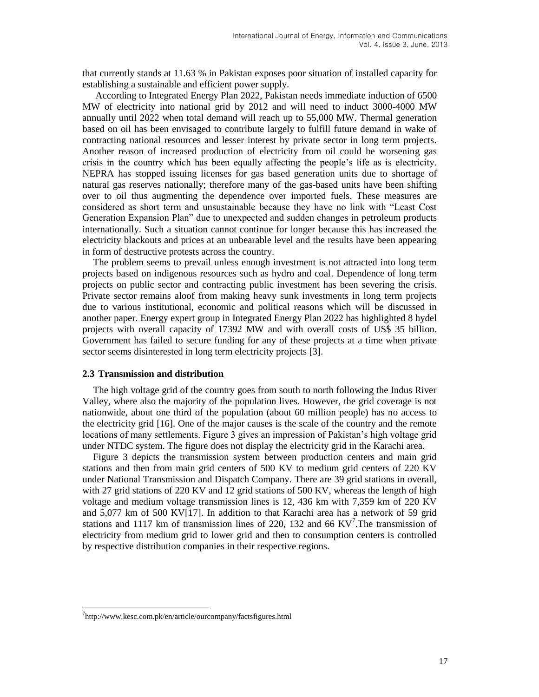that currently stands at 11.63 % in Pakistan exposes poor situation of installed capacity for establishing a sustainable and efficient power supply.

According to Integrated Energy Plan 2022, Pakistan needs immediate induction of 6500 MW of electricity into national grid by 2012 and will need to induct 3000-4000 MW annually until 2022 when total demand will reach up to 55,000 MW. Thermal generation based on oil has been envisaged to contribute largely to fulfill future demand in wake of contracting national resources and lesser interest by private sector in long term projects. Another reason of increased production of electricity from oil could be worsening gas crisis in the country which has been equally affecting the people's life as is electricity. NEPRA has stopped issuing licenses for gas based generation units due to shortage of natural gas reserves nationally; therefore many of the gas-based units have been shifting over to oil thus augmenting the dependence over imported fuels. These measures are considered as short term and unsustainable because they have no link with "Least Cost Generation Expansion Plan" due to unexpected and sudden changes in petroleum products internationally. Such a situation cannot continue for longer because this has increased the electricity blackouts and prices at an unbearable level and the results have been appearing in form of destructive protests across the country.

The problem seems to prevail unless enough investment is not attracted into long term projects based on indigenous resources such as hydro and coal. Dependence of long term projects on public sector and contracting public investment has been severing the crisis. Private sector remains aloof from making heavy sunk investments in long term projects due to various institutional, economic and political reasons which will be discussed in another paper. Energy expert group in Integrated Energy Plan 2022 has highlighted 8 hydel projects with overall capacity of 17392 MW and with overall costs of US\$ 35 billion. Government has failed to secure funding for any of these projects at a time when private sector seems disinterested in long term electricity projects [\[3\]](#page-14-2).

#### **2.3 Transmission and distribution**

The high voltage grid of the country goes from south to north following the Indus River Valley, where also the majority of the population lives. However, the grid coverage is not nationwide, about one third of the population (about 60 million people) has no access to the electricity grid [\[16\]](#page-15-3). One of the major causes is the scale of the country and the remote locations of many settlements. Figure 3 gives an impression of Pakistan's high voltage grid under NTDC system. The figure does not display the electricity grid in the Karachi area.

Figure 3 depicts the transmission system between production centers and main grid stations and then from main grid centers of 500 KV to medium grid centers of 220 KV under National Transmission and Dispatch Company. There are 39 grid stations in overall, with 27 grid stations of 220 KV and 12 grid stations of 500 KV, whereas the length of high voltage and medium voltage transmission lines is 12, 436 km with 7,359 km of 220 KV and 5,077 km of 500 KV[\[17\]](#page-15-4). In addition to that Karachi area has a network of 59 grid stations and 1117 km of transmission lines of 220, 132 and 66  $KV^7$ . The transmission of electricity from medium grid to lower grid and then to consumption centers is controlled by respective distribution companies in their respective regions.

 $\ddot{\phantom{a}}$ 

<sup>&</sup>lt;sup>7</sup>http://www.kesc.com.pk/en/article/ourcompany/factsfigures.html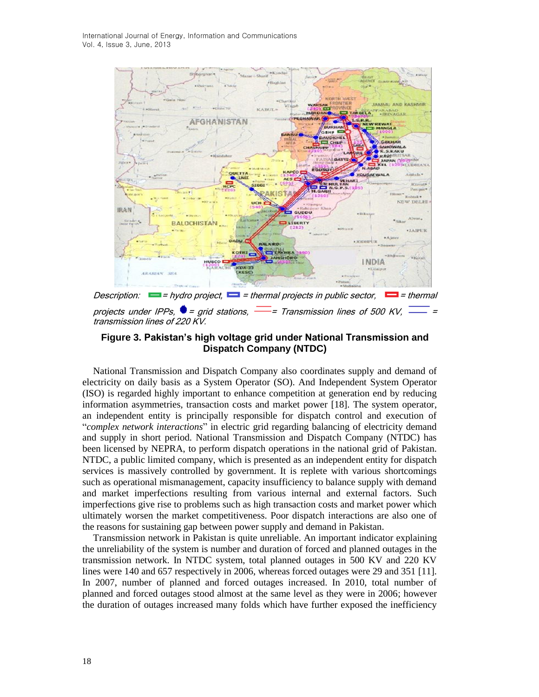

transmission lines of 220 KV.

## **Figure 3. Pakistan's high voltage grid under National Transmission and Dispatch Company (NTDC)**

National Transmission and Dispatch Company also coordinates supply and demand of electricity on daily basis as a System Operator (SO). And Independent System Operator (ISO) is regarded highly important to enhance competition at generation end by reducing information asymmetries, transaction costs and market power [\[18\]](#page-15-5). The system operator, an independent entity is principally responsible for dispatch control and execution of "*complex network interactions*" in electric grid regarding balancing of electricity demand and supply in short period. National Transmission and Dispatch Company (NTDC) has been licensed by NEPRA, to perform dispatch operations in the national grid of Pakistan. NTDC, a public limited company, which is presented as an independent entity for dispatch services is massively controlled by government. It is replete with various shortcomings such as operational mismanagement, capacity insufficiency to balance supply with demand and market imperfections resulting from various internal and external factors. Such imperfections give rise to problems such as high transaction costs and market power which ultimately worsen the market competitiveness. Poor dispatch interactions are also one of the reasons for sustaining gap between power supply and demand in Pakistan.

Transmission network in Pakistan is quite unreliable. An important indicator explaining the unreliability of the system is number and duration of forced and planned outages in the transmission network. In NTDC system, total planned outages in 500 KV and 220 KV lines were 140 and 657 respectively in 2006, whereas forced outages were 29 and 351 [\[11\]](#page-14-8). In 2007, number of planned and forced outages increased. In 2010, total number of planned and forced outages stood almost at the same level as they were in 2006; however the duration of outages increased many folds which have further exposed the inefficiency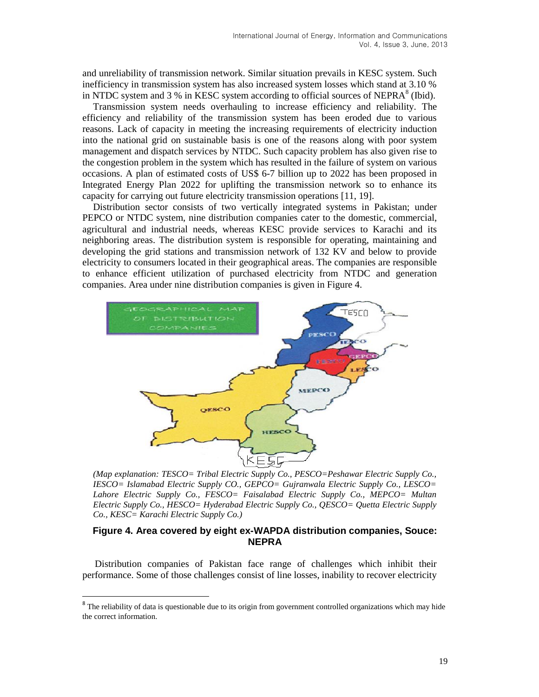and unreliability of transmission network. Similar situation prevails in KESC system. Such inefficiency in transmission system has also increased system losses which stand at 3.10 % in NTDC system and 3 % in KESC system according to official sources of NEPRA $<sup>8</sup>$  (Ibid).</sup>

Transmission system needs overhauling to increase efficiency and reliability. The efficiency and reliability of the transmission system has been eroded due to various reasons. Lack of capacity in meeting the increasing requirements of electricity induction into the national grid on sustainable basis is one of the reasons along with poor system management and dispatch services by NTDC. Such capacity problem has also given rise to the congestion problem in the system which has resulted in the failure of system on various occasions. A plan of estimated costs of US\$ 6-7 billion up to 2022 has been proposed in Integrated Energy Plan 2022 for uplifting the transmission network so to enhance its capacity for carrying out future electricity transmission operations [\[11,](#page-14-8) [19\]](#page-15-6).

Distribution sector consists of two vertically integrated systems in Pakistan; under PEPCO or NTDC system, nine distribution companies cater to the domestic, commercial, agricultural and industrial needs, whereas KESC provide services to Karachi and its neighboring areas. The distribution system is responsible for operating, maintaining and developing the grid stations and transmission network of 132 KV and below to provide electricity to consumers located in their geographical areas. The companies are responsible to enhance efficient utilization of purchased electricity from NTDC and generation companies. Area under nine distribution companies is given in Figure 4.



*(Map explanation: TESCO= Tribal Electric Supply Co., PESCO=Peshawar Electric Supply Co., IESCO= Islamabad Electric Supply CO., GEPCO= Gujranwala Electric Supply Co., LESCO= Lahore Electric Supply Co., FESCO= Faisalabad Electric Supply Co., MEPCO= Multan Electric Supply Co., HESCO= Hyderabad Electric Supply Co., QESCO= Quetta Electric Supply Co., KESC= Karachi Electric Supply Co.)*

#### **Figure 4. Area covered by eight ex-WAPDA distribution companies, Souce: NEPRA**

Distribution companies of Pakistan face range of challenges which inhibit their performance. Some of those challenges consist of line losses, inability to recover electricity

<sup>&</sup>lt;sup>8</sup> The reliability of data is questionable due to its origin from government controlled organizations which may hide the correct information.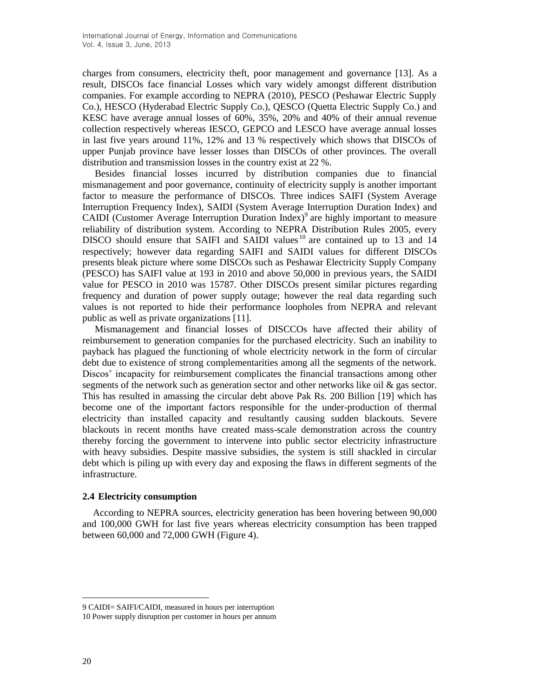charges from consumers, electricity theft, poor management and governance [\[13\]](#page-15-0). As a result, DISCOs face financial Losses which vary widely amongst different distribution companies. For example according to NEPRA (2010), PESCO (Peshawar Electric Supply Co.), HESCO (Hyderabad Electric Supply Co.), QESCO (Quetta Electric Supply Co.) and KESC have average annual losses of 60%, 35%, 20% and 40% of their annual revenue collection respectively whereas IESCO, GEPCO and LESCO have average annual losses in last five years around 11%, 12% and 13 % respectively which shows that DISCOs of upper Punjab province have lesser losses than DISCOs of other provinces. The overall distribution and transmission losses in the country exist at 22 %.

Besides financial losses incurred by distribution companies due to financial mismanagement and poor governance, continuity of electricity supply is another important factor to measure the performance of DISCOs. Three indices SAIFI (System Average Interruption Frequency Index), SAIDI (System Average Interruption Duration Index) and CAIDI (Customer Average Interruption Duration Index)<sup>9</sup> are highly important to measure reliability of distribution system. According to NEPRA Distribution Rules 2005, every DISCO should ensure that SAIFI and SAIDI values  $10$  are contained up to 13 and 14 respectively; however data regarding SAIFI and SAIDI values for different DISCOs presents bleak picture where some DISCOs such as Peshawar Electricity Supply Company (PESCO) has SAIFI value at 193 in 2010 and above 50,000 in previous years, the SAIDI value for PESCO in 2010 was 15787. Other DISCOs present similar pictures regarding frequency and duration of power supply outage; however the real data regarding such values is not reported to hide their performance loopholes from NEPRA and relevant public as well as private organizations [\[11\]](#page-14-8).

Mismanagement and financial losses of DISCCOs have affected their ability of reimbursement to generation companies for the purchased electricity. Such an inability to payback has plagued the functioning of whole electricity network in the form of circular debt due to existence of strong complementarities among all the segments of the network. Discos' incapacity for reimbursement complicates the financial transactions among other segments of the network such as generation sector and other networks like oil  $\&$  gas sector. This has resulted in amassing the circular debt above Pak Rs. 200 Billion [\[19\]](#page-15-6) which has become one of the important factors responsible for the under-production of thermal electricity than installed capacity and resultantly causing sudden blackouts. Severe blackouts in recent months have created mass-scale demonstration across the country thereby forcing the government to intervene into public sector electricity infrastructure with heavy subsidies. Despite massive subsidies, the system is still shackled in circular debt which is piling up with every day and exposing the flaws in different segments of the infrastructure.

### **2.4 Electricity consumption**

According to NEPRA sources, electricity generation has been hovering between 90,000 and 100,000 GWH for last five years whereas electricity consumption has been trapped between 60,000 and 72,000 GWH (Figure 4).

<sup>9</sup> CAIDI= SAIFI/CAIDI, measured in hours per interruption

<sup>10</sup> Power supply disruption per customer in hours per annum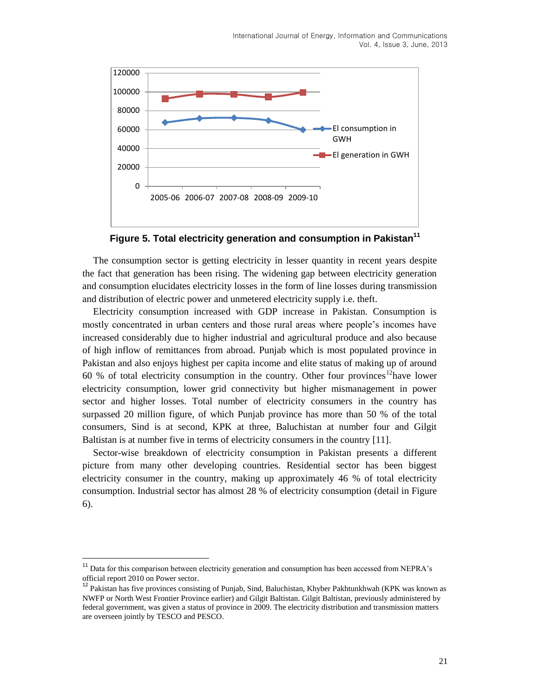

**Figure 5. Total electricity generation and consumption in Pakistan<sup>11</sup>**

The consumption sector is getting electricity in lesser quantity in recent years despite the fact that generation has been rising. The widening gap between electricity generation and consumption elucidates electricity losses in the form of line losses during transmission and distribution of electric power and unmetered electricity supply i.e. theft.

Electricity consumption increased with GDP increase in Pakistan. Consumption is mostly concentrated in urban centers and those rural areas where people's incomes have increased considerably due to higher industrial and agricultural produce and also because of high inflow of remittances from abroad. Punjab which is most populated province in Pakistan and also enjoys highest per capita income and elite status of making up of around 60 % of total electricity consumption in the country. Other four provinces<sup>12</sup>have lower electricity consumption, lower grid connectivity but higher mismanagement in power sector and higher losses. Total number of electricity consumers in the country has surpassed 20 million figure, of which Punjab province has more than 50 % of the total consumers, Sind is at second, KPK at three, Baluchistan at number four and Gilgit Baltistan is at number five in terms of electricity consumers in the country [\[11\]](#page-14-8).

Sector-wise breakdown of electricity consumption in Pakistan presents a different picture from many other developing countries. Residential sector has been biggest electricity consumer in the country, making up approximately 46 % of total electricity consumption. Industrial sector has almost 28 % of electricity consumption (detail in Figure 6).

 $\ddot{\phantom{a}}$ 

<sup>&</sup>lt;sup>11</sup> Data for this comparison between electricity generation and consumption has been accessed from NEPRA's official report 2010 on Power sector.

<sup>&</sup>lt;sup>12</sup> Pakistan has five provinces consisting of Punjab, Sind, Baluchistan, Khyber Pakhtunkhwah (KPK was known as NWFP or North West Frontier Province earlier) and Gilgit Baltistan. Gilgit Baltistan, previously administered by federal government, was given a status of province in 2009. The electricity distribution and transmission matters are overseen jointly by TESCO and PESCO.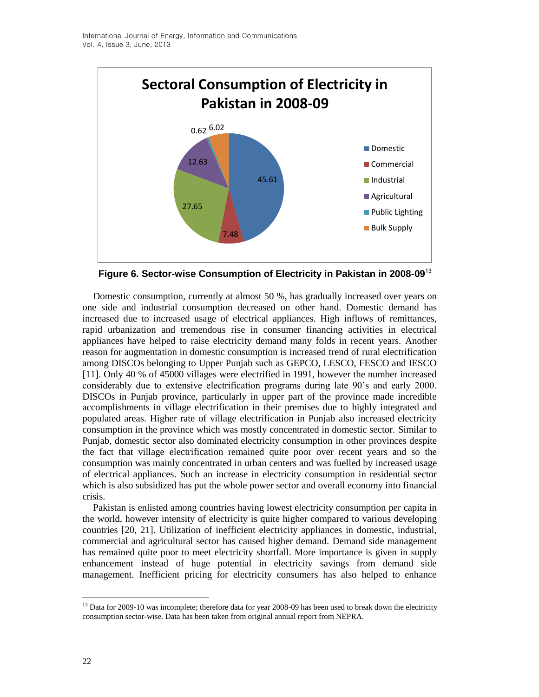

**Figure 6. Sector-wise Consumption of Electricity in Pakistan in 2008-09**<sup>13</sup>

Domestic consumption, currently at almost 50 %, has gradually increased over years on one side and industrial consumption decreased on other hand. Domestic demand has increased due to increased usage of electrical appliances. High inflows of remittances, rapid urbanization and tremendous rise in consumer financing activities in electrical appliances have helped to raise electricity demand many folds in recent years. Another reason for augmentation in domestic consumption is increased trend of rural electrification among DISCOs belonging to Upper Punjab such as GEPCO, LESCO, FESCO and IESCO [\[11\]](#page-14-8). Only 40 % of 45000 villages were electrified in 1991, however the number increased considerably due to extensive electrification programs during late 90's and early 2000. DISCOs in Punjab province, particularly in upper part of the province made incredible accomplishments in village electrification in their premises due to highly integrated and populated areas. Higher rate of village electrification in Punjab also increased electricity consumption in the province which was mostly concentrated in domestic sector. Similar to Punjab, domestic sector also dominated electricity consumption in other provinces despite the fact that village electrification remained quite poor over recent years and so the consumption was mainly concentrated in urban centers and was fuelled by increased usage of electrical appliances. Such an increase in electricity consumption in residential sector which is also subsidized has put the whole power sector and overall economy into financial crisis.

Pakistan is enlisted among countries having lowest electricity consumption per capita in the world, however intensity of electricity is quite higher compared to various developing countries [\[20,](#page-15-7) [21\]](#page-15-8). Utilization of inefficient electricity appliances in domestic, industrial, commercial and agricultural sector has caused higher demand. Demand side management has remained quite poor to meet electricity shortfall. More importance is given in supply enhancement instead of huge potential in electricity savings from demand side management. Inefficient pricing for electricity consumers has also helped to enhance

 $\overline{a}$ <sup>13</sup> Data for 2009-10 was incomplete; therefore data for year 2008-09 has been used to break down the electricity consumption sector-wise. Data has been taken from original annual report from NEPRA.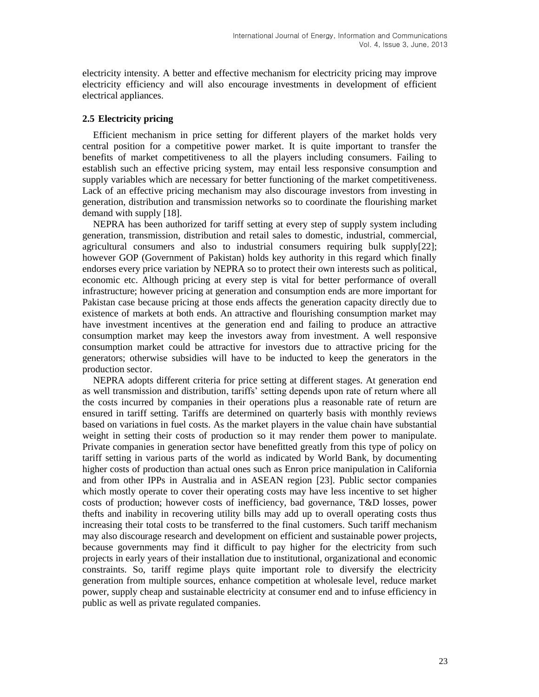electricity intensity. A better and effective mechanism for electricity pricing may improve electricity efficiency and will also encourage investments in development of efficient electrical appliances.

#### **2.5 Electricity pricing**

Efficient mechanism in price setting for different players of the market holds very central position for a competitive power market. It is quite important to transfer the benefits of market competitiveness to all the players including consumers. Failing to establish such an effective pricing system, may entail less responsive consumption and supply variables which are necessary for better functioning of the market competitiveness. Lack of an effective pricing mechanism may also discourage investors from investing in generation, distribution and transmission networks so to coordinate the flourishing market demand with supply [\[18\]](#page-15-5).

NEPRA has been authorized for tariff setting at every step of supply system including generation, transmission, distribution and retail sales to domestic, industrial, commercial, agricultural consumers and also to industrial consumers requiring bulk supply[\[22\]](#page-15-9); however GOP (Government of Pakistan) holds key authority in this regard which finally endorses every price variation by NEPRA so to protect their own interests such as political, economic etc. Although pricing at every step is vital for better performance of overall infrastructure; however pricing at generation and consumption ends are more important for Pakistan case because pricing at those ends affects the generation capacity directly due to existence of markets at both ends. An attractive and flourishing consumption market may have investment incentives at the generation end and failing to produce an attractive consumption market may keep the investors away from investment. A well responsive consumption market could be attractive for investors due to attractive pricing for the generators; otherwise subsidies will have to be inducted to keep the generators in the production sector.

NEPRA adopts different criteria for price setting at different stages. At generation end as well transmission and distribution, tariffs' setting depends upon rate of return where all the costs incurred by companies in their operations plus a reasonable rate of return are ensured in tariff setting. Tariffs are determined on quarterly basis with monthly reviews based on variations in fuel costs. As the market players in the value chain have substantial weight in setting their costs of production so it may render them power to manipulate. Private companies in generation sector have benefitted greatly from this type of policy on tariff setting in various parts of the world as indicated by World Bank, by documenting higher costs of production than actual ones such as Enron price manipulation in California and from other IPPs in Australia and in ASEAN region [\[23\]](#page-15-10). Public sector companies which mostly operate to cover their operating costs may have less incentive to set higher costs of production; however costs of inefficiency, bad governance, T&D losses, power thefts and inability in recovering utility bills may add up to overall operating costs thus increasing their total costs to be transferred to the final customers. Such tariff mechanism may also discourage research and development on efficient and sustainable power projects, because governments may find it difficult to pay higher for the electricity from such projects in early years of their installation due to institutional, organizational and economic constraints. So, tariff regime plays quite important role to diversify the electricity generation from multiple sources, enhance competition at wholesale level, reduce market power, supply cheap and sustainable electricity at consumer end and to infuse efficiency in public as well as private regulated companies.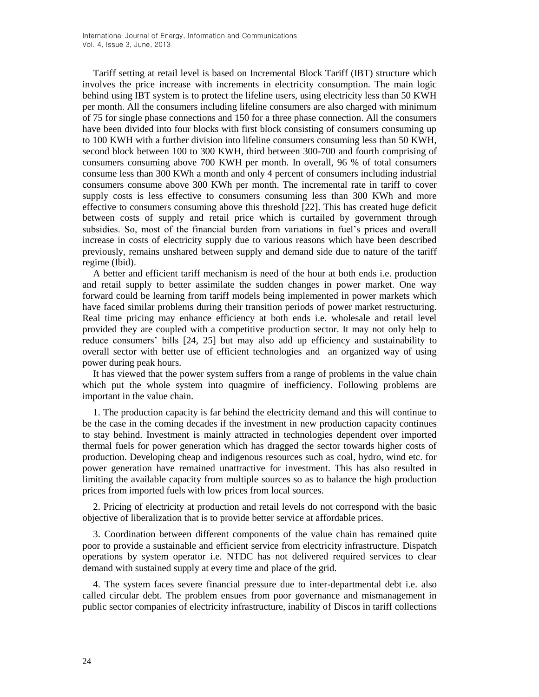Tariff setting at retail level is based on Incremental Block Tariff (IBT) structure which involves the price increase with increments in electricity consumption. The main logic behind using IBT system is to protect the lifeline users, using electricity less than 50 KWH per month. All the consumers including lifeline consumers are also charged with minimum of 75 for single phase connections and 150 for a three phase connection. All the consumers have been divided into four blocks with first block consisting of consumers consuming up to 100 KWH with a further division into lifeline consumers consuming less than 50 KWH, second block between 100 to 300 KWH, third between 300-700 and fourth comprising of consumers consuming above 700 KWH per month. In overall, 96 % of total consumers consume less than 300 KWh a month and only 4 percent of consumers including industrial consumers consume above 300 KWh per month. The incremental rate in tariff to cover supply costs is less effective to consumers consuming less than 300 KWh and more effective to consumers consuming above this threshold [\[22\]](#page-15-9). This has created huge deficit between costs of supply and retail price which is curtailed by government through subsidies. So, most of the financial burden from variations in fuel's prices and overall increase in costs of electricity supply due to various reasons which have been described previously, remains unshared between supply and demand side due to nature of the tariff regime (Ibid).

A better and efficient tariff mechanism is need of the hour at both ends i.e. production and retail supply to better assimilate the sudden changes in power market. One way forward could be learning from tariff models being implemented in power markets which have faced similar problems during their transition periods of power market restructuring. Real time pricing may enhance efficiency at both ends i.e. wholesale and retail level provided they are coupled with a competitive production sector. It may not only help to reduce consumers' bills [\[24,](#page-15-11) [25\]](#page-15-12) but may also add up efficiency and sustainability to overall sector with better use of efficient technologies and an organized way of using power during peak hours.

It has viewed that the power system suffers from a range of problems in the value chain which put the whole system into quagmire of inefficiency. Following problems are important in the value chain.

1. The production capacity is far behind the electricity demand and this will continue to be the case in the coming decades if the investment in new production capacity continues to stay behind. Investment is mainly attracted in technologies dependent over imported thermal fuels for power generation which has dragged the sector towards higher costs of production. Developing cheap and indigenous resources such as coal, hydro, wind etc. for power generation have remained unattractive for investment. This has also resulted in limiting the available capacity from multiple sources so as to balance the high production prices from imported fuels with low prices from local sources.

2. Pricing of electricity at production and retail levels do not correspond with the basic objective of liberalization that is to provide better service at affordable prices.

3. Coordination between different components of the value chain has remained quite poor to provide a sustainable and efficient service from electricity infrastructure. Dispatch operations by system operator i.e. NTDC has not delivered required services to clear demand with sustained supply at every time and place of the grid.

4. The system faces severe financial pressure due to inter-departmental debt i.e. also called circular debt. The problem ensues from poor governance and mismanagement in public sector companies of electricity infrastructure, inability of Discos in tariff collections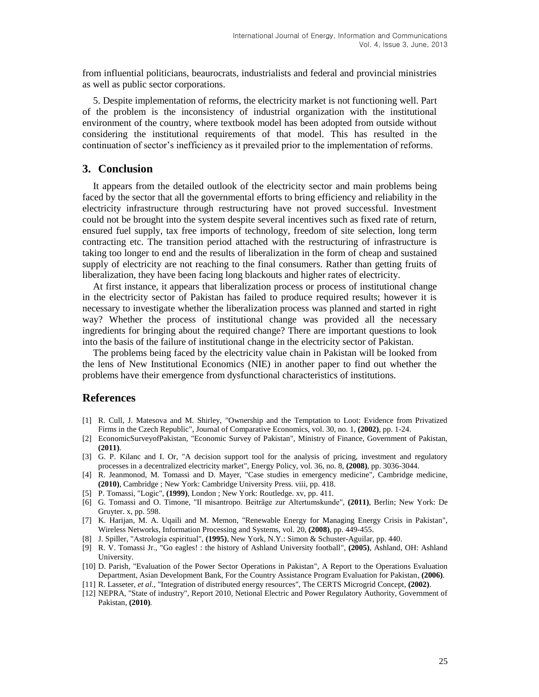from influential politicians, beaurocrats, industrialists and federal and provincial ministries as well as public sector corporations.

5. Despite implementation of reforms, the electricity market is not functioning well. Part of the problem is the inconsistency of industrial organization with the institutional environment of the country, where textbook model has been adopted from outside without considering the institutional requirements of that model. This has resulted in the continuation of sector's inefficiency as it prevailed prior to the implementation of reforms.

#### **3. Conclusion**

It appears from the detailed outlook of the electricity sector and main problems being faced by the sector that all the governmental efforts to bring efficiency and reliability in the electricity infrastructure through restructuring have not proved successful. Investment could not be brought into the system despite several incentives such as fixed rate of return, ensured fuel supply, tax free imports of technology, freedom of site selection, long term contracting etc. The transition period attached with the restructuring of infrastructure is taking too longer to end and the results of liberalization in the form of cheap and sustained supply of electricity are not reaching to the final consumers. Rather than getting fruits of liberalization, they have been facing long blackouts and higher rates of electricity.

At first instance, it appears that liberalization process or process of institutional change in the electricity sector of Pakistan has failed to produce required results; however it is necessary to investigate whether the liberalization process was planned and started in right way? Whether the process of institutional change was provided all the necessary ingredients for bringing about the required change? There are important questions to look into the basis of the failure of institutional change in the electricity sector of Pakistan.

The problems being faced by the electricity value chain in Pakistan will be looked from the lens of New Institutional Economics (NIE) in another paper to find out whether the problems have their emergence from dysfunctional characteristics of institutions.

### **References**

- <span id="page-14-0"></span>[1] R. Cull, J. Matesova and M. Shirley, "Ownership and the Temptation to Loot: Evidence from Privatized Firms in the Czech Republic", Journal of Comparative Economics, vol. 30, no. 1, **(2002)**, pp. 1-24.
- <span id="page-14-1"></span>[2] EconomicSurveyofPakistan, "Economic Survey of Pakistan", Ministry of Finance, Government of Pakistan, **(2011)**.
- <span id="page-14-2"></span>[3] G. P. Kilanc and I. Or, "A decision support tool for the analysis of pricing, investment and regulatory processes in a decentralized electricity market", Energy Policy, vol. 36, no. 8, **(2008)**, pp. 3036-3044.
- [4] R. Jeanmonod, M. Tomassi and D. Mayer, "Case studies in emergency medicine", Cambridge medicine, **(2010)**, Cambridge ; New York: Cambridge University Press. viii, pp. 418.
- <span id="page-14-3"></span>[5] P. Tomassi, "Logic", **(1999)**, London ; New York: Routledge. xv, pp. 411.
- <span id="page-14-4"></span>[6] G. Tomassi and O. Timone, "Il misantropo. Beiträge zur Altertumskunde", (2011), Berlin; New York: De Gruyter. x, pp. 598.
- <span id="page-14-5"></span>[7] K. Harijan, M. A. Uqaili and M. Memon, "Renewable Energy for Managing Energy Crisis in Pakistan", Wireless Networks, Information Processing and Systems, vol. 20, **(2008)**, pp. 449-455.
- <span id="page-14-6"></span>[8] J. Spiller, "Astrología espiritual", (1995), New York, N.Y.: Simon & Schuster-Aguilar, pp. 440.
- <span id="page-14-7"></span>[9] R. V. Tomassi Jr., "Go eagles! : the history of Ashland University football", **(2005)**, Ashland, OH: Ashland University.
- [10] D. Parish, "Evaluation of the Power Sector Operations in Pakistan", A Report to the Operations Evaluation Department, Asian Development Bank, For the Country Assistance Program Evaluation for Pakistan, **(2006)**.
- <span id="page-14-8"></span>[11] R. Lasseter, *et al.*, "Integration of distributed energy resources", The CERTS Microgrid Concept, **(2002)**.
- <span id="page-14-9"></span>[12] NEPRA, "State of industry", Report 2010, Netional Electric and Power Regulatory Authority, Government of Pakistan, **(2010)**.